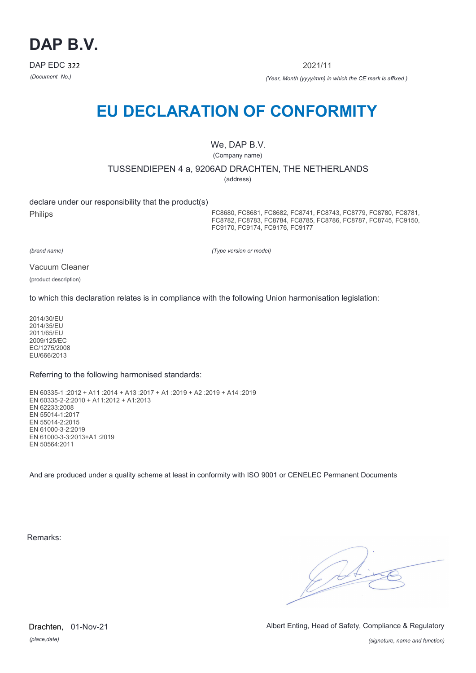

2021/11

*(Document No.) (Year, Month (yyyy/mm) in which the CE mark is affixed )*

# **EU DECLARATION OF CONFORMITY**

We, DAP B.V.

(Company name)

TUSSENDIEPEN 4 a, 9206AD DRACHTEN, THE NETHERLANDS

(address)

declare under our responsibility that the product(s)

Philips

FC8680, FC8681, FC8682, FC8741, FC8743, FC8779, FC8780, FC8781, FC8782, FC8783, FC8784, FC8785, FC8786, FC8787, FC8745, FC9150, FC9170, FC9174, FC9176, FC9177

*(brand name)*

*(Type version or model)*

Vacuum Cleaner

(product description)

to which this declaration relates is in compliance with the following Union harmonisation legislation:

2014/30/EU 2014/35/EU 2011/65/EU 2009/125/EC EC/1275/2008 EU/666/2013

Referring to the following harmonised standards:

EN 60335-1 :2012 + A11 :2014 + A13 :2017 + A1 :2019 + A2 :2019 + A14 :2019 EN 60335-2-2:2010 + A11:2012 + A1:2013 EN 62233:2008 EN 55014-1:2017 EN 55014-2:2015 EN 61000-3-2:2019 EN 61000-3-3:2013+A1 :2019 EN 50564:2011

And are produced under a quality scheme at least in conformity with ISO 9001 or CENELEC Permanent Documents

Remarks:

 $\sqrt{2}$ 

*(place,date)* Drachten, 01-Nov-21 Albert Enting, Head of Safety, Compliance & Regulatory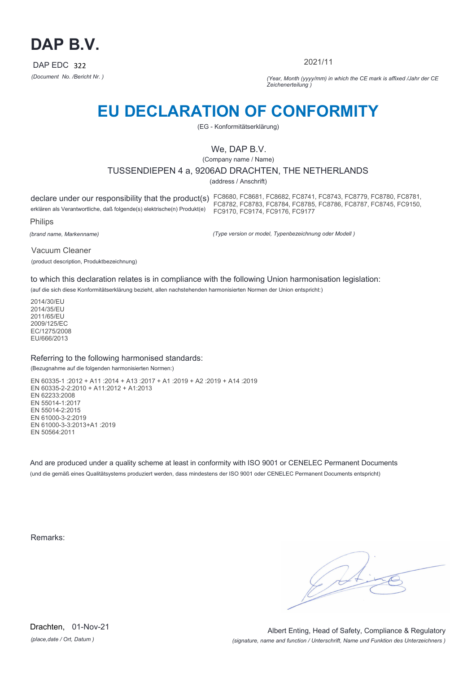

2021/11

*(Document No. /Bericht Nr. ) (Year, Month (yyyy/mm) in which the CE mark is affixed /Jahr der CE Zeichenerteilung )*

# **EU DECLARATION OF CONFORMITY**

(EG - Konformitätserklärung)

# We, DAP B.V.

(Company name / Name)

## TUSSENDIEPEN 4 a, 9206AD DRACHTEN, THE NETHERLANDS

(address / Anschrift)

erklären als Verantwortliche, daß folgende(s) elektrische(n) Produkt(e)

declare under our responsibility that the product(s) FC8680, FC8681, FC8682, FC8741, FC8743, FC8779, FC8780, FC8781, FC8782, FC8783, FC8784, FC8785, FC8786, FC8787, FC8745, FC9150, FC9170, FC9174, FC9176, FC9177

Philips

*(brand name, Markenname)*

*(Type version or model, Typenbezeichnung oder Modell )*

Vacuum Cleaner (product description, Produktbezeichnung)

to which this declaration relates is in compliance with the following Union harmonisation legislation:

(auf die sich diese Konformitätserklärung bezieht, allen nachstehenden harmonisierten Normen der Union entspricht:)

2014/30/EU 2014/35/EU 2011/65/EU 2009/125/EC EC/1275/2008 EU/666/2013

### Referring to the following harmonised standards:

(Bezugnahme auf die folgenden harmonisierten Normen:)

EN 60335-1 :2012 + A11 :2014 + A13 :2017 + A1 :2019 + A2 :2019 + A14 :2019 EN 60335-2-2:2010 + A11:2012 + A1:2013 EN 62233:2008 EN 55014-1:2017 EN 55014-2:2015 EN 61000-3-2:2019 EN 61000-3-3:2013+A1 :2019 EN 50564:2011

And are produced under a quality scheme at least in conformity with ISO 9001 or CENELEC Permanent Documents (und die gemäß eines Qualitätsystems produziert werden, dass mindestens der ISO 9001 oder CENELEC Permanent Documents entspricht)

Remarks: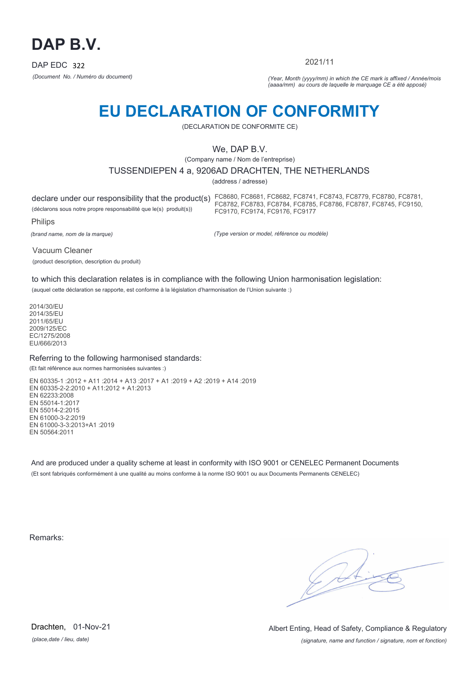

2021/11

*(Document No. / Numéro du document) (Year, Month (yyyy/mm) in which the CE mark is affixed / Année/mois (aaaa/mm) au cours de laquelle le marquage CE a été apposé)*

# **EU DECLARATION OF CONFORMITY**

(DECLARATION DE CONFORMITE CE)

# We, DAP B.V.

(Company name / Nom de l'entreprise)

### TUSSENDIEPEN 4 a, 9206AD DRACHTEN, THE NETHERLANDS

(address / adresse)

declare under our responsibility that the product(s) FC8680, FC8681, FC8682, FC8741, FC8743, FC8779, FC8780, FC8781, (déclarons sous notre propre responsabilité que le(s) produit(s)) Philips FC8782, FC8783, FC8784, FC8785, FC8786, FC8787, FC8745, FC9150, FC9170, FC9174, FC9176, FC9177

*(brand name, nom de la marque)*

*(Type version or model, référence ou modèle)*

Vacuum Cleaner (product description, description du produit)

to which this declaration relates is in compliance with the following Union harmonisation legislation:

(auquel cette déclaration se rapporte, est conforme à la législation d'harmonisation de l'Union suivante :)

2014/30/EU 2014/35/EU 2011/65/EU 2009/125/EC EC/1275/2008 EU/666/2013

### Referring to the following harmonised standards:

(Et fait référence aux normes harmonisées suivantes :)

EN 60335-1 :2012 + A11 :2014 + A13 :2017 + A1 :2019 + A2 :2019 + A14 :2019 EN 60335-2-2:2010 + A11:2012 + A1:2013 EN 62233:2008 EN 55014-1:2017 EN 55014-2:2015 EN 61000-3-2:2019 EN 61000-3-3:2013+A1 :2019 EN 50564:2011

And are produced under a quality scheme at least in conformity with ISO 9001 or CENELEC Permanent Documents (Et sont fabriqués conformément à une qualité au moins conforme à la norme ISO 9001 ou aux Documents Permanents CENELEC)

Remarks:

*(place,date / lieu, date)* Drachten, 01-Nov-21

*(signature, name and function / signature, nom et fonction)* Albert Enting, Head of Safety, Compliance & Regulatory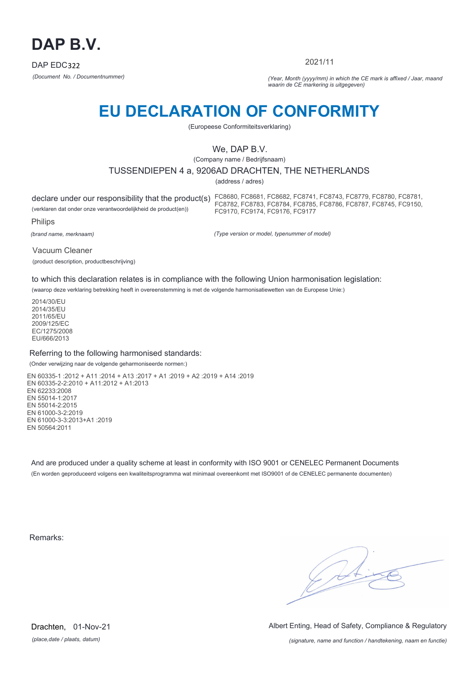

2021/11

*(Document No. / Documentnummer) (Year, Month (yyyy/mm) in which the CE mark is affixed / Jaar, maand waarin de CE markering is uitgegeven)*

# **EU DECLARATION OF CONFORMITY**

(Europeese Conformiteitsverklaring)

# We, DAP B.V.

(Company name / Bedrijfsnaam)

### TUSSENDIEPEN 4 a, 9206AD DRACHTEN, THE NETHERLANDS

(address / adres)

declare under our responsibility that the product(s) FC8680, FC8681, FC8682, FC8741, FC8743, FC8779, FC8780, FC8781, (verklaren dat onder onze verantwoordelijkheid de product(en)) Philips FC8782, FC8783, FC8784, FC8785, FC8786, FC8787, FC8745, FC9150, FC9170, FC9174, FC9176, FC9177

*(brand name, merknaam)*

*(Type version or model, typenummer of model)*

Vacuum Cleaner (product description, productbeschrijving)

to which this declaration relates is in compliance with the following Union harmonisation legislation:

(waarop deze verklaring betrekking heeft in overeenstemming is met de volgende harmonisatiewetten van de Europese Unie:)

2014/30/EU 2014/35/EU 2011/65/EU 2009/125/EC EC/1275/2008 EU/666/2013

### Referring to the following harmonised standards:

(Onder verwijzing naar de volgende geharmoniseerde normen:)

EN 60335-1 :2012 + A11 :2014 + A13 :2017 + A1 :2019 + A2 :2019 + A14 :2019 EN 60335-2-2:2010 + A11:2012 + A1:2013 EN 62233:2008 EN 55014-1:2017 EN 55014-2:2015 EN 61000-3-2:2019 EN 61000-3-3:2013+A1 :2019 EN 50564:2011

And are produced under a quality scheme at least in conformity with ISO 9001 or CENELEC Permanent Documents (En worden geproduceerd volgens een kwaliteitsprogramma wat minimaal overeenkomt met ISO9001 of de CENELEC permanente documenten)

Remarks:

 $\sqrt{2}$ 

*(place,date / plaats, datum)* Drachten, 01-Nov-21 Albert Enting, Head of Safety, Compliance & Regulatory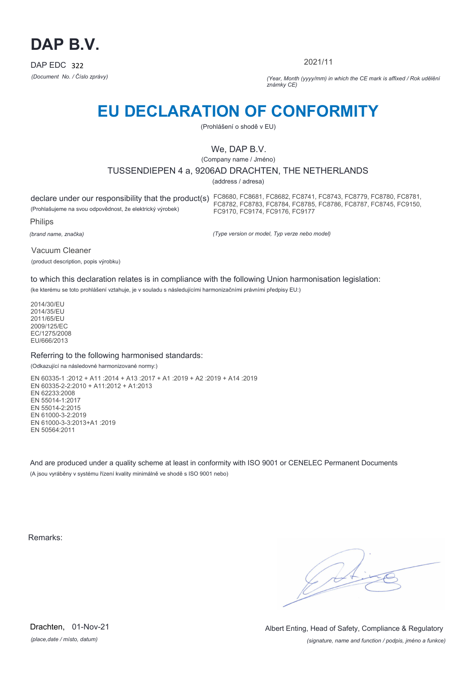

2021/11

*(Document No. / Číslo zprávy) (Year, Month (yyyy/mm) in which the CE mark is affixed / Rok udělění známky CE)*

# **EU DECLARATION OF CONFORMITY**

(Prohlášení o shodě v EU)

# We, DAP B.V.

(Company name / Jméno)

## TUSSENDIEPEN 4 a, 9206AD DRACHTEN, THE NETHERLANDS

(address / adresa)

(Prohlašujeme na svou odpovědnost, že elektrický výrobek)

declare under our responsibility that the product(s) FC8680, FC8681, FC8682, FC8741, FC8743, FC8779, FC8780, FC8781, FC8782, FC8783, FC8784, FC8785, FC8786, FC8787, FC8745, FC9150, FC9170, FC9174, FC9176, FC9177

Philips

*(brand name, značka)*

*(Type version or model, Typ verze nebo model)*

Vacuum Cleaner (product description, popis výrobku)

to which this declaration relates is in compliance with the following Union harmonisation legislation:

(ke kterému se toto prohlášení vztahuje, je v souladu s následujícími harmonizačními právními předpisy EU:)

2014/30/EU 2014/35/EU 2011/65/EU 2009/125/EC EC/1275/2008 EU/666/2013

### Referring to the following harmonised standards:

(Odkazující na následovné harmonizované normy:)

EN 60335-1 :2012 + A11 :2014 + A13 :2017 + A1 :2019 + A2 :2019 + A14 :2019 EN 60335-2-2:2010 + A11:2012 + A1:2013 EN 62233:2008 EN 55014-1:2017 EN 55014-2:2015 EN 61000-3-2:2019 EN 61000-3-3:2013+A1 :2019 EN 50564:2011

And are produced under a quality scheme at least in conformity with ISO 9001 or CENELEC Permanent Documents (A jsou vyráběny v systému řízení kvality minimálně ve shodě s ISO 9001 nebo)

Remarks:

*(place,date / místo, datum)* Drachten, 01-Nov-21

*(signature, name and function / podpis, jméno a funkce)* Albert Enting, Head of Safety, Compliance & Regulatory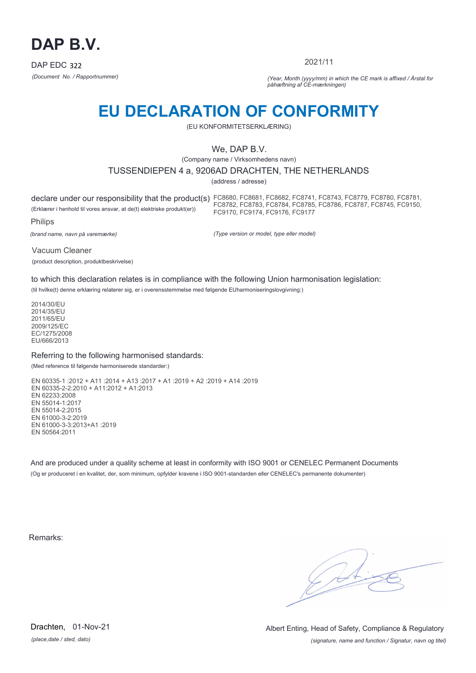

2021/11

*(Document No. / Rapportnummer) (Year, Month (yyyy/mm) in which the CE mark is affixed / Årstal for påhæftning af CE-mærkningen)*

# **EU DECLARATION OF CONFORMITY**

(EU KONFORMITETSERKLÆRING)

# We, DAP B.V.

(Company name / Virksomhedens navn)

TUSSENDIEPEN 4 a, 9206AD DRACHTEN, THE NETHERLANDS

(address / adresse)

declare under our responsibility that the product(s) FC8680, FC8681, FC8682, FC8741, FC8743, FC8779, FC8780, FC8781, (Erklærer i henhold til vores ansvar, at de(t) elektriske produkt(er)) Philips FC8782, FC8783, FC8784, FC8785, FC8786, FC8787, FC8745, FC9150, FC9170, FC9174, FC9176, FC9177

*(brand name, navn på varemærke)*

*(Type version or model, type eller model)*

Vacuum Cleaner (product description, produktbeskrivelse)

to which this declaration relates is in compliance with the following Union harmonisation legislation:

(til hvilke(t) denne erklæring relaterer sig, er i overensstemmelse med følgende EUharmoniseringslovgivning:)

2014/30/EU 2014/35/EU 2011/65/EU 2009/125/EC EC/1275/2008 EU/666/2013

### Referring to the following harmonised standards:

(Med reference til følgende harmoniserede standarder:)

EN 60335-1 :2012 + A11 :2014 + A13 :2017 + A1 :2019 + A2 :2019 + A14 :2019 EN 60335-2-2:2010 + A11:2012 + A1:2013 EN 62233:2008 EN 55014-1:2017 EN 55014-2:2015 EN 61000-3-2:2019 EN 61000-3-3:2013+A1 :2019 EN 50564:2011

And are produced under a quality scheme at least in conformity with ISO 9001 or CENELEC Permanent Documents (Og er produceret i en kvalitet, der, som minimum, opfylder kravene i ISO 9001-standarden eller CENELEC's permanente dokumenter)

Remarks:

*(place,date / sted, dato)* Drachten, 01-Nov-21

*(signature, name and function / Signatur, navn og titel)* Albert Enting, Head of Safety, Compliance & Regulatory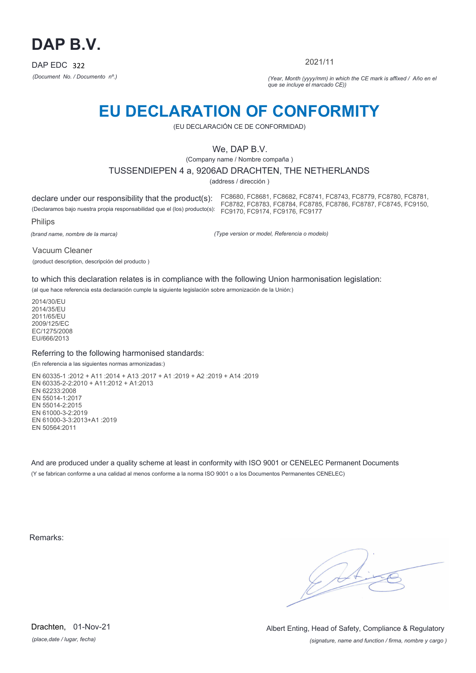

2021/11

*(Document No. / Documento nº.) (Year, Month (yyyy/mm) in which the CE mark is affixed / Año en el que se incluye el marcado CE))*

# **EU DECLARATION OF CONFORMITY**

(EU DECLARACIÓN CE DE CONFORMIDAD)

# We, DAP B.V.

(Company name / Nombre compaña )

TUSSENDIEPEN 4 a, 9206AD DRACHTEN, THE NETHERLANDS

(address / dirección )

declare under our responsibility that the product(s): (Declaramos bajo nuestra propia responsabilidad que el (los) producto(s): FC9170, FC9174, FC9176, FC9177 FC8680, FC8681, FC8682, FC8741, FC8743, FC8779, FC8780, FC8781, FC8782, FC8783, FC8784, FC8785, FC8786, FC8787, FC8745, FC9150,

Philips

*(brand name, nombre de la marca)*

*(Type version or model, Referencia o modelo)*

Vacuum Cleaner

(product description, descripción del producto )

to which this declaration relates is in compliance with the following Union harmonisation legislation:

(al que hace referencia esta declaración cumple la siguiente legislación sobre armonización de la Unión:)

2014/30/EU 2014/35/EU 2011/65/EU 2009/125/EC EC/1275/2008 EU/666/2013

### Referring to the following harmonised standards:

(En referencia a las siguientes normas armonizadas:)

EN 60335-1 :2012 + A11 :2014 + A13 :2017 + A1 :2019 + A2 :2019 + A14 :2019 EN 60335-2-2:2010 + A11:2012 + A1:2013 EN 62233:2008 EN 55014-1:2017 EN 55014-2:2015 EN 61000-3-2:2019 EN 61000-3-3:2013+A1 :2019 EN 50564:2011

And are produced under a quality scheme at least in conformity with ISO 9001 or CENELEC Permanent Documents (Y se fabrican conforme a una calidad al menos conforme a la norma ISO 9001 o a los Documentos Permanentes CENELEC)

Remarks:

*(place,date / lugar, fecha)* Drachten, 01-Nov-21

*(signature, name and function / firma, nombre y cargo )* Albert Enting, Head of Safety, Compliance & Regulatory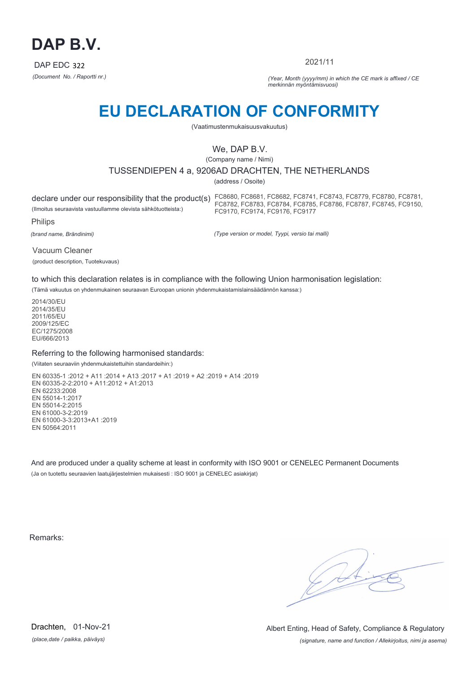

2021/11

*(Document No. / Raportti nr.) (Year, Month (yyyy/mm) in which the CE mark is affixed / CE merkinnän myöntämisvuosi)*

# **EU DECLARATION OF CONFORMITY**

(Vaatimustenmukaisuusvakuutus)

# We, DAP B.V.

(Company name / Nimi)

## TUSSENDIEPEN 4 a, 9206AD DRACHTEN, THE NETHERLANDS

(address / Osoite)

declare under our responsibility that the product(s) FC8680, FC8681, FC8682, FC8741, FC8743, FC8779, FC8780, FC8781, (Ilmoitus seuraavista vastuullamme olevista sähkötuotteista:) Philips FC8782, FC8783, FC8784, FC8785, FC8786, FC8787, FC8745, FC9150, FC9170, FC9174, FC9176, FC9177

*(brand name, Brändinimi)*

*(Type version or model, Tyypi, versio tai malli)*

Vacuum Cleaner (product description, Tuotekuvaus)

to which this declaration relates is in compliance with the following Union harmonisation legislation:

(Tämä vakuutus on yhdenmukainen seuraavan Euroopan unionin yhdenmukaistamislainsäädännön kanssa:)

2014/30/EU 2014/35/EU 2011/65/EU 2009/125/EC EC/1275/2008 EU/666/2013

### Referring to the following harmonised standards:

(Viitaten seuraaviin yhdenmukaistettuihin standardeihin:)

EN 60335-1 :2012 + A11 :2014 + A13 :2017 + A1 :2019 + A2 :2019 + A14 :2019 EN 60335-2-2:2010 + A11:2012 + A1:2013 EN 62233:2008 EN 55014-1:2017 EN 55014-2:2015 EN 61000-3-2:2019 EN 61000-3-3:2013+A1 :2019 EN 50564:2011

And are produced under a quality scheme at least in conformity with ISO 9001 or CENELEC Permanent Documents (Ja on tuotettu seuraavien laatujärjestelmien mukaisesti : ISO 9001 ja CENELEC asiakirjat)

Remarks:

*(place,date / paikka, päiväys)* Drachten, 01-Nov-21

*(signature, name and function / Allekirjoitus, nimi ja asema)* Albert Enting, Head of Safety, Compliance & Regulatory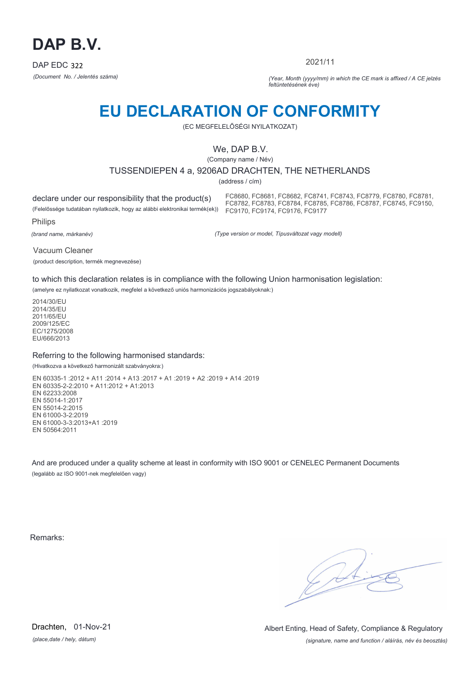

2021/11

*(Document No. / Jelentés száma) (Year, Month (yyyy/mm) in which the CE mark is affixed / A CE jelzés feltüntetésének éve)*

# **EU DECLARATION OF CONFORMITY**

(EC MEGFELELŐSÉGI NYILATKOZAT)

## We, DAP B.V.

(Company name / Név)

### TUSSENDIEPEN 4 a, 9206AD DRACHTEN, THE NETHERLANDS

(address / cím)

declare under our responsibility that the product(s)

(Felelőssége tudatában nyilatkozik, hogy az alábbi elektronikai termék(ek)) FC9170, FC9174, FC9176, FC9177 FC8680, FC8681, FC8682, FC8741, FC8743, FC8779, FC8780, FC8781, FC8782, FC8783, FC8784, FC8785, FC8786, FC8787, FC8745, FC9150,

Philips

*(brand name, márkanév)*

*(Type version or model, Típusváltozat vagy modell)*

Vacuum Cleaner

(product description, termék megnevezése)

to which this declaration relates is in compliance with the following Union harmonisation legislation:

(amelyre ez nyilatkozat vonatkozik, megfelel a következő uniós harmonizációs jogszabályoknak:)

2014/30/EU 2014/35/EU 2011/65/EU 2009/125/EC EC/1275/2008 EU/666/2013

### Referring to the following harmonised standards:

(Hivatkozva a következő harmonizált szabványokra:)

EN 60335-1 :2012 + A11 :2014 + A13 :2017 + A1 :2019 + A2 :2019 + A14 :2019 EN 60335-2-2:2010 + A11:2012 + A1:2013 EN 62233:2008 EN 55014-1:2017 EN 55014-2:2015 EN 61000-3-2:2019 EN 61000-3-3:2013+A1 :2019 EN 50564:2011

And are produced under a quality scheme at least in conformity with ISO 9001 or CENELEC Permanent Documents (legalább az ISO 9001-nek megfelelően vagy)

Remarks:

 $\sqrt{4}$ 

*(place,date / hely, dátum)* Drachten, 01-Nov-21

*(signature, name and function / aláírás, név és beosztás)* Albert Enting, Head of Safety, Compliance & Regulatory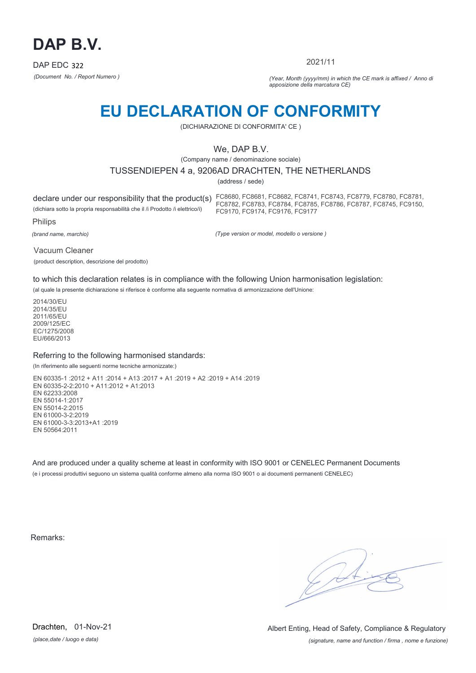

2021/11

*(Document No. / Report Numero ) (Year, Month (yyyy/mm) in which the CE mark is affixed / Anno di apposizione della marcatura CE)*

# **EU DECLARATION OF CONFORMITY**

(DICHIARAZIONE DI CONFORMITA' CE )

# We, DAP B.V.

(Company name / denominazione sociale)

### TUSSENDIEPEN 4 a, 9206AD DRACHTEN, THE NETHERLANDS

(address / sede)

declare under our responsibility that the product(s) FC8680, FC8681, FC8682, FC8741, FC8743, FC8779, FC8780, FC8781, (dichiara sotto la propria responsabilità che il /i Prodotto /i elettrico/i) Philips FC8782, FC8783, FC8784, FC8785, FC8786, FC8787, FC8745, FC9150, FC9170, FC9174, FC9176, FC9177

*(brand name, marchio)*

*(Type version or model, modello o versione )*

Vacuum Cleaner

(product description, descrizione del prodotto)

to which this declaration relates is in compliance with the following Union harmonisation legislation:

(al quale la presente dichiarazione si riferisce è conforme alla seguente normativa di armonizzazione dell'Unione:

2014/30/EU 2014/35/EU 2011/65/EU 2009/125/EC EC/1275/2008 EU/666/2013

### Referring to the following harmonised standards:

(In riferimento alle seguenti norme tecniche armonizzate:)

EN 60335-1 :2012 + A11 :2014 + A13 :2017 + A1 :2019 + A2 :2019 + A14 :2019 EN 60335-2-2:2010 + A11:2012 + A1:2013 EN 62233:2008 EN 55014-1:2017 EN 55014-2:2015 EN 61000-3-2:2019 EN 61000-3-3:2013+A1 :2019 EN 50564:2011

And are produced under a quality scheme at least in conformity with ISO 9001 or CENELEC Permanent Documents (e i processi produttivi seguono un sistema qualità conforme almeno alla norma ISO 9001 o ai documenti permanenti CENELEC)

Remarks:

*(place,date / luogo e data)* Drachten, 01-Nov-21

*(signature, name and function / firma , nome e funzione)* Albert Enting, Head of Safety, Compliance & Regulatory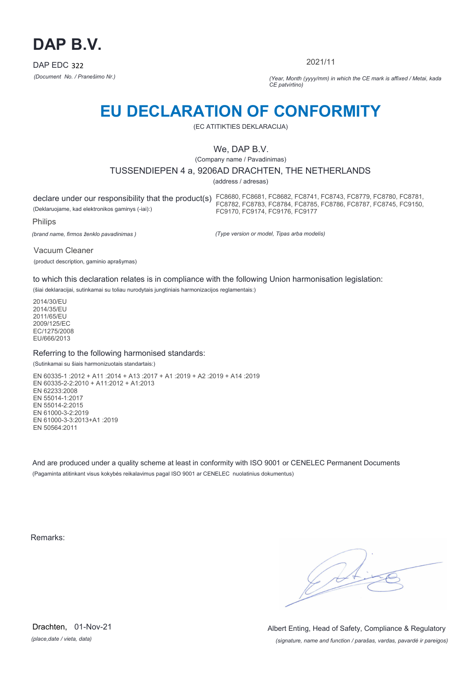

2021/11

*(Document No. / Pranešimo Nr.) (Year, Month (yyyy/mm) in which the CE mark is affixed / Metai, kada CE patvirtino)*

# **EU DECLARATION OF CONFORMITY**

(EC ATITIKTIES DEKLARACIJA)

# We, DAP B.V.

(Company name / Pavadinimas)

### TUSSENDIEPEN 4 a, 9206AD DRACHTEN, THE NETHERLANDS

(address / adresas)

declare under our responsibility that the product(s) FC8680, FC8681, FC8682, FC8741, FC8743, FC8779, FC8780, FC8781, (Deklaruojame, kad elektronikos gaminys (-iai):) FC8782, FC8783, FC8784, FC8785, FC8786, FC8787, FC8745, FC9150, FC9170, FC9174, FC9176, FC9177

Philips

*(brand name, firmos ženklo pavadinimas )*

*(Type version or model, Tipas arba modelis)*

Vacuum Cleaner (product description, gaminio aprašymas)

to which this declaration relates is in compliance with the following Union harmonisation legislation:

(šiai deklaracijai, sutinkamai su toliau nurodytais jungtiniais harmonizacijos reglamentais:)

2014/30/EU 2014/35/EU 2011/65/EU 2009/125/EC EC/1275/2008 EU/666/2013

### Referring to the following harmonised standards:

(Sutinkamai su šiais harmonizuotais standartais:)

EN 60335-1 :2012 + A11 :2014 + A13 :2017 + A1 :2019 + A2 :2019 + A14 :2019 EN 60335-2-2:2010 + A11:2012 + A1:2013 EN 62233:2008 EN 55014-1:2017 EN 55014-2:2015 EN 61000-3-2:2019 EN 61000-3-3:2013+A1 :2019 EN 50564:2011

And are produced under a quality scheme at least in conformity with ISO 9001 or CENELEC Permanent Documents (Pagaminta atitinkant visus kokybės reikalavimus pagal ISO 9001 ar CENELEC nuolatinius dokumentus)

Remarks:

*(place,date / vieta, data)* Drachten, 01-Nov-21

*(signature, name and function / parašas, vardas, pavardė ir pareigos)* Albert Enting, Head of Safety, Compliance & Regulatory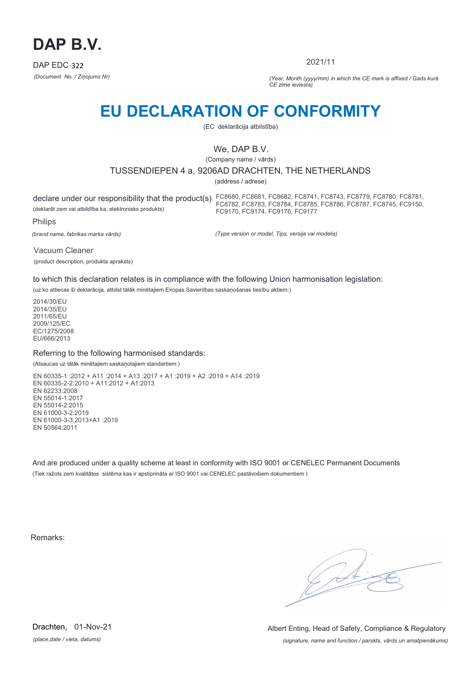

2021/11

*(Document No. / Ziņojums Nr) (Year, Month (yyyy/mm) in which the CE mark is affixed / Gads kurā CE zīme ieviesta)*

# **EU DECLARATION OF CONFORMITY**

(EC deklarācija atbilstība)

# We, DAP B.V.

(Company name / vārds)

## TUSSENDIEPEN 4 a, 9206AD DRACHTEN, THE NETHERLANDS

(address / adrese)

declare under our responsibility that the product(s) FC8680, FC8681, FC8682, FC8741, FC8743, FC8779, FC8780, FC8781, (deklarēt zem vai atbildība ka, elektronisks produkts) FC8782, FC8783, FC8784, FC8785, FC8786, FC8787, FC8745, FC9150, FC9170, FC9174, FC9176, FC9177

Philips

*(brand name, fabrikas marka vārds)*

*(Type version or model, Tips, versija vai modelis)*

Vacuum Cleaner (product description, produkta apraksts)

to which this declaration relates is in compliance with the following Union harmonisation legislation:

(uz ko attiecas šī deklarācija, atbilst tālāk minētajiem Eiropas Savienības saskaņošanas tiesību aktiem:)

2014/30/EU 2014/35/EU 2011/65/EU 2009/125/EC EC/1275/2008 EU/666/2013

### Referring to the following harmonised standards:

(Atsaucas uz tālāk minētajiem saskaņotajiem standartiem:)

EN 60335-1 :2012 + A11 :2014 + A13 :2017 + A1 :2019 + A2 :2019 + A14 :2019 EN 60335-2-2:2010 + A11:2012 + A1:2013 EN 62233:2008 EN 55014-1:2017 EN 55014-2:2015 EN 61000-3-2:2019 EN 61000-3-3:2013+A1 :2019 EN 50564:2011

And are produced under a quality scheme at least in conformity with ISO 9001 or CENELEC Permanent Documents (Tiek ražots zem kvalitātes sistēma kas ir apstiprināta ar ISO 9001 vai CENELEC pastāvošiem dokumentiem )

Remarks:

*(place,date / vieta, datums)* Drachten, 01-Nov-21

*(signature, name and function / parskts, vārds un amatpienākums)* Albert Enting, Head of Safety, Compliance & Regulatory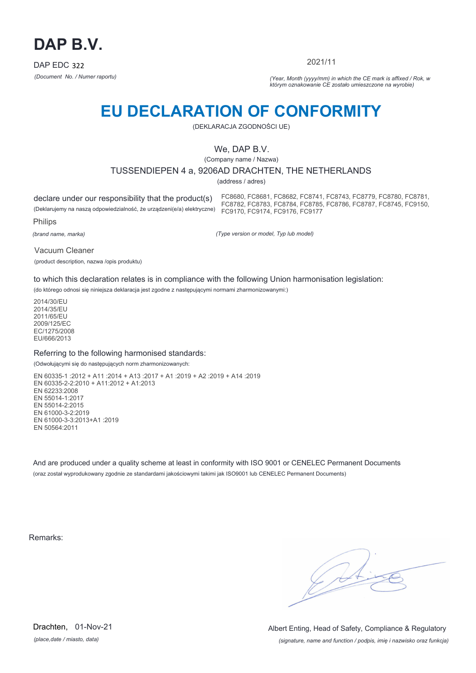

2021/11

*(Document No. / Numer raportu) (Year, Month (yyyy/mm) in which the CE mark is affixed / Rok, w którym oznakowanie CE zostało umieszczone na wyrobie)*

# **EU DECLARATION OF CONFORMITY**

(DEKLARACJA ZGODNOŚCI UE)

## We, DAP B.V.

(Company name / Nazwa)

## TUSSENDIEPEN 4 a, 9206AD DRACHTEN, THE NETHERLANDS

(address / adres)

declare under our responsibility that the product(s) (Deklarujemy na naszą odpowiedzialność, że urządzeni(e/a) elektryczne)

FC8680, FC8681, FC8682, FC8741, FC8743, FC8779, FC8780, FC8781, FC8782, FC8783, FC8784, FC8785, FC8786, FC8787, FC8745, FC9150, FC9170, FC9174, FC9176, FC9177

Philips

*(brand name, marka)*

*(Type version or model, Typ lub model)*

Vacuum Cleaner

(product description, nazwa /opis produktu)

to which this declaration relates is in compliance with the following Union harmonisation legislation:

(do którego odnosi się niniejsza deklaracja jest zgodne z następującymi normami zharmonizowanymi:)

2014/30/EU 2014/35/EU 2011/65/EU 2009/125/EC EC/1275/2008 EU/666/2013

### Referring to the following harmonised standards:

(Odwołującymi się do następujących norm zharmonizowanych:

EN 60335-1 :2012 + A11 :2014 + A13 :2017 + A1 :2019 + A2 :2019 + A14 :2019 EN 60335-2-2:2010 + A11:2012 + A1:2013 EN 62233:2008 EN 55014-1:2017 EN 55014-2:2015 EN 61000-3-2:2019 EN 61000-3-3:2013+A1 :2019 EN 50564:2011

And are produced under a quality scheme at least in conformity with ISO 9001 or CENELEC Permanent Documents (oraz został wyprodukowany zgodnie ze standardami jakościowymi takimi jak ISO9001 lub CENELEC Permanent Documents)

Remarks:

*(place,date / miasto, data)* Drachten, 01-Nov-21

*(signature, name and function / podpis, imię i nazwisko oraz funkcja)* Albert Enting, Head of Safety, Compliance & Regulatory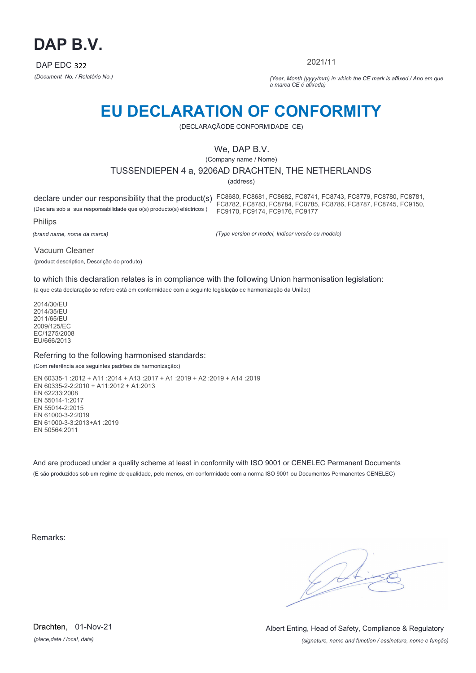

2021/11

*(Document No. / Relatório No.) (Year, Month (yyyy/mm) in which the CE mark is affixed / Ano em que a marca CE é afixada)*

# **EU DECLARATION OF CONFORMITY**

(DECLARAÇÃODE CONFORMIDADE CE)

## We, DAP B.V.

(Company name / Nome)

## TUSSENDIEPEN 4 a, 9206AD DRACHTEN, THE NETHERLANDS

(address)

declare under our responsibility that the product(s) FC8680, FC8681, FC8682, FC8741, FC8743, FC8779, FC8780, FC8781, (Declara sob a sua responsabilidade que o(s) producto(s) eléctricos ) FC8782, FC8783, FC8784, FC8785, FC8786, FC8787, FC8745, FC9150, FC9170, FC9174, FC9176, FC9177

Philips

*(brand name, nome da marca)*

*(Type version or model, Indicar versão ou modelo)*

Vacuum Cleaner

(product description, Descrição do produto)

to which this declaration relates is in compliance with the following Union harmonisation legislation:

(a que esta declaração se refere está em conformidade com a seguinte legislação de harmonização da União:)

2014/30/EU 2014/35/EU 2011/65/EU 2009/125/EC EC/1275/2008 EU/666/2013

### Referring to the following harmonised standards:

(Com referência aos seguintes padrões de harmonização:)

EN 60335-1 :2012 + A11 :2014 + A13 :2017 + A1 :2019 + A2 :2019 + A14 :2019 EN 60335-2-2:2010 + A11:2012 + A1:2013 EN 62233:2008 EN 55014-1:2017 EN 55014-2:2015 EN 61000-3-2:2019 EN 61000-3-3:2013+A1 :2019 EN 50564:2011

And are produced under a quality scheme at least in conformity with ISO 9001 or CENELEC Permanent Documents (E são produzidos sob um regime de qualidade, pelo menos, em conformidade com a norma ISO 9001 ou Documentos Permanentes CENELEC)

Remarks:

*(place,date / local, data)* Drachten, 01-Nov-21

*(signature, name and function / assinatura, nome e função)* Albert Enting, Head of Safety, Compliance & Regulatory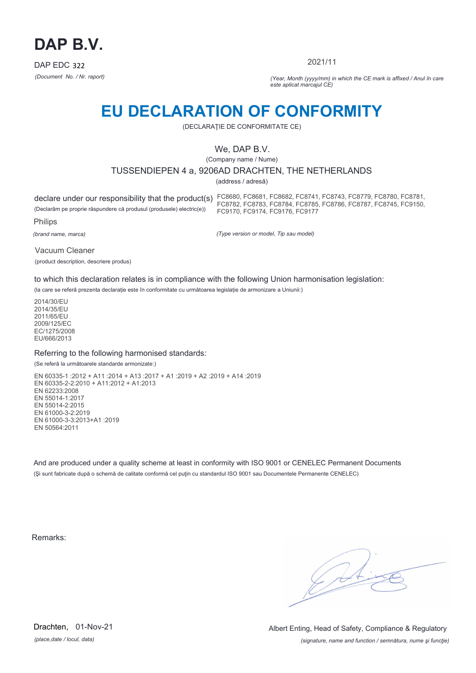

2021/11

*(Document No. / Nr. raport) (Year, Month (yyyy/mm) in which the CE mark is affixed / Anul în care este aplicat marcajul CE)*

# **EU DECLARATION OF CONFORMITY**

(DECLARAŢIE DE CONFORMITATE CE)

## We, DAP B.V.

(Company name / Nume)

## TUSSENDIEPEN 4 a, 9206AD DRACHTEN, THE NETHERLANDS

(address / adresă)

(Declarăm pe proprie răspundere că produsul (produsele) electric(e))

declare under our responsibility that the product(s) FC8680, FC8681, FC8682, FC8741, FC8743, FC8779, FC8780, FC8781, FC8782, FC8783, FC8784, FC8785, FC8786, FC8787, FC8745, FC9150, FC9170, FC9174, FC9176, FC9177

Philips

*(brand name, marca)*

*(Type version or model, Tip sau model)*

Vacuum Cleaner

(product description, descriere produs)

to which this declaration relates is in compliance with the following Union harmonisation legislation:

(la care se referă prezenta declarație este în conformitate cu următoarea legislație de armonizare a Uniunii:)

2014/30/EU 2014/35/EU 2011/65/EU 2009/125/EC EC/1275/2008 EU/666/2013

### Referring to the following harmonised standards:

(Se referă la următoarele standarde armonizate:)

EN 60335-1 :2012 + A11 :2014 + A13 :2017 + A1 :2019 + A2 :2019 + A14 :2019 EN 60335-2-2:2010 + A11:2012 + A1:2013 EN 62233:2008 EN 55014-1:2017 EN 55014-2:2015 EN 61000-3-2:2019 EN 61000-3-3:2013+A1 :2019 EN 50564:2011

And are produced under a quality scheme at least in conformity with ISO 9001 or CENELEC Permanent Documents (Şi sunt fabricate după o schemă de calitate conformă cel puţin cu standardul ISO 9001 sau Documentele Permanente CENELEC)

Remarks:

*(place,date / locul, data)* Drachten, 01-Nov-21

*(signature, name and function / semnătura, nume şi funcţie)* Albert Enting, Head of Safety, Compliance & Regulatory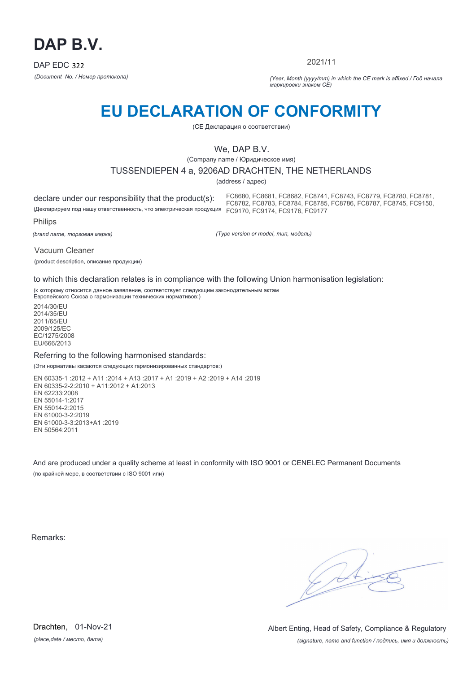

2021/11

*(Document No. / Номер протокола) (Year, Month (yyyy/mm) in which the CE mark is affixed / Год начала маркировки знаком CE)*

# **EU DECLARATION OF CONFORMITY**

(CE Декларация о соответствии)

# We, DAP B.V.

(Company name / Юридическое имя)

### TUSSENDIEPEN 4 a, 9206AD DRACHTEN, THE NETHERLANDS

(address / адрес)

declare under our responsibility that the product(s): (Декларируем под нашу ответственность, что электрическая продукция FC9170, FC9174, FC9176, FC9177 FC8680, FC8681, FC8682, FC8741, FC8743, FC8779, FC8780, FC8781, FC8782, FC8783, FC8784, FC8785, FC8786, FC8787, FC8745, FC9150,

Philips

*(brand name, торговая марка)*

*(Type version or model, тип, модель)*

Vacuum Cleaner

(product description, описание продукции)

to which this declaration relates is in compliance with the following Union harmonisation legislation:

(к которому относится данное заявление, соответствует следующим законодательным актам Европейского Союза о гармонизации технических нормативов:)

2014/30/EU 2014/35/EU 2011/65/EU 2009/125/EC EC/1275/2008 EU/666/2013

### Referring to the following harmonised standards:

(Эти нормативы касаются следующих гармонизированных стандартов:)

EN 60335-1 :2012 + A11 :2014 + A13 :2017 + A1 :2019 + A2 :2019 + A14 :2019 EN 60335-2-2:2010 + A11:2012 + A1:2013 EN 62233:2008 EN 55014-1:2017 EN 55014-2:2015 EN 61000-3-2:2019 EN 61000-3-3:2013+A1 :2019 EN 50564:2011

And are produced under a quality scheme at least in conformity with ISO 9001 or CENELEC Permanent Documents (по крайней мере, в соответствии с ISO 9001 или)

Remarks:

*(place,date / место, дата)* Drachten, 01-Nov-21

*(signature, name and function / подпись, имя и должность)* Albert Enting, Head of Safety, Compliance & Regulatory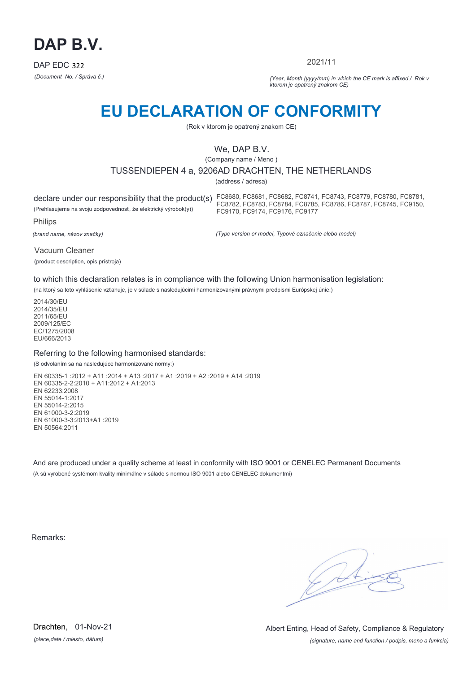

2021/11

*(Document No. / Správa č.) (Year, Month (yyyy/mm) in which the CE mark is affixed / Rok v ktorom je opatrený znakom CE)*

# **EU DECLARATION OF CONFORMITY**

(Rok v ktorom je opatrený znakom CE)

## We, DAP B.V.

(Company name / Meno )

## TUSSENDIEPEN 4 a, 9206AD DRACHTEN, THE NETHERLANDS

(address / adresa)

declare under our responsibility that the product(s) FC8680, FC8681, FC8682, FC8741, FC8743, FC8779, FC8780, FC8781, (Prehlasujeme na svoju zodpovednosť, že elektrický výrobok(y)) Philips FC8782, FC8783, FC8784, FC8785, FC8786, FC8787, FC8745, FC9150, FC9170, FC9174, FC9176, FC9177

*(brand name, názov značky)*

*(Type version or model, Typové označenie alebo model)*

Vacuum Cleaner (product description, opis prístroja)

to which this declaration relates is in compliance with the following Union harmonisation legislation:

(na ktorý sa toto vyhlásenie vzťahuje, je v súlade s nasledujúcimi harmonizovanými právnymi predpismi Európskej únie:)

2014/30/EU 2014/35/EU 2011/65/EU 2009/125/EC EC/1275/2008 EU/666/2013

### Referring to the following harmonised standards:

(S odvolaním sa na nasledujúce harmonizované normy:)

EN 60335-1 :2012 + A11 :2014 + A13 :2017 + A1 :2019 + A2 :2019 + A14 :2019 EN 60335-2-2:2010 + A11:2012 + A1:2013 EN 62233:2008 EN 55014-1:2017 EN 55014-2:2015 EN 61000-3-2:2019 EN 61000-3-3:2013+A1 :2019 EN 50564:2011

And are produced under a quality scheme at least in conformity with ISO 9001 or CENELEC Permanent Documents (A sú vyrobené systémom kvality minimálne v súlade s normou ISO 9001 alebo CENELEC dokumentmi)

Remarks:

*(place,date / miesto, dátum)* Drachten, 01-Nov-21

*(signature, name and function / podpis, meno a funkcia)* Albert Enting, Head of Safety, Compliance & Regulatory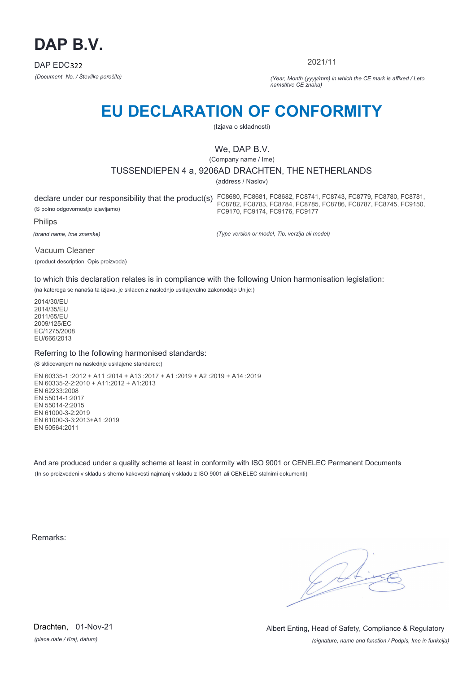

2021/11

*(Document No. / Številka poročila) (Year, Month (yyyy/mm) in which the CE mark is affixed / Leto namstitve CE znaka)*

# **EU DECLARATION OF CONFORMITY**

(Izjava o skladnosti)

# We, DAP B.V.

(Company name / Ime)

## TUSSENDIEPEN 4 a, 9206AD DRACHTEN, THE NETHERLANDS

(address / Naslov)

(S polno odgovornostjo izjavljamo)

declare under our responsibility that the product(s) FC8680, FC8681, FC8682, FC8741, FC8743, FC8779, FC8780, FC8781, FC8782, FC8783, FC8784, FC8785, FC8786, FC8787, FC8745, FC9150, FC9170, FC9174, FC9176, FC9177

Philips

*(brand name, Ime znamke)*

*(Type version or model, Tip, verzija ali model)*

Vacuum Cleaner (product description, Opis proizvoda)

to which this declaration relates is in compliance with the following Union harmonisation legislation:

(na katerega se nanaša ta izjava, je skladen z naslednjo usklajevalno zakonodajo Unije:)

2014/30/EU 2014/35/EU 2011/65/EU 2009/125/EC EC/1275/2008 EU/666/2013

## Referring to the following harmonised standards:

(S sklicevanjem na naslednje usklajene standarde:)

EN 60335-1 :2012 + A11 :2014 + A13 :2017 + A1 :2019 + A2 :2019 + A14 :2019 EN 60335-2-2:2010 + A11:2012 + A1:2013 EN 62233:2008 EN 55014-1:2017 EN 55014-2:2015 EN 61000-3-2:2019 EN 61000-3-3:2013+A1 :2019 EN 50564:2011

And are produced under a quality scheme at least in conformity with ISO 9001 or CENELEC Permanent Documents (In so proizvedeni v skladu s shemo kakovosti najmanj v skladu z ISO 9001 ali CENELEC stalnimi dokumenti)

Remarks:

*(place,date / Kraj, datum)* Drachten, 01-Nov-21

*(signature, name and function / Podpis, Ime in funkcija)* Albert Enting, Head of Safety, Compliance & Regulatory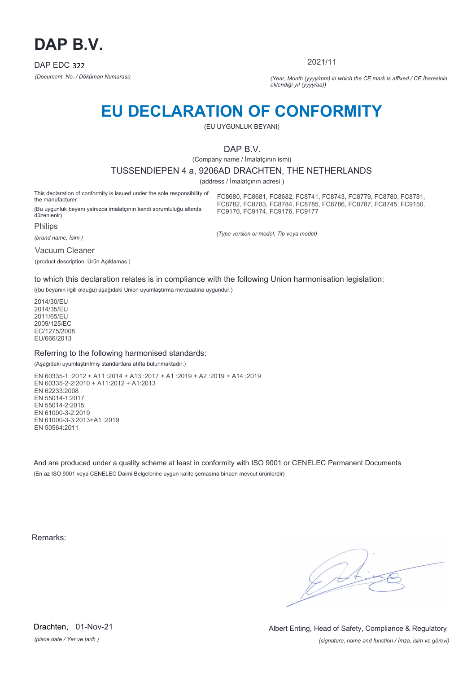

2021/11

*(Document No. / Döküman Numarası) (Year, Month (yyyy/mm) in which the CE mark is affixed / CE İbaresinin eklendiği yıl (yyyy/aa))*

# **EU DECLARATION OF CONFORMITY**

(EU UYGUNLUK BEYANI)

## DAP B.V.

(Company name / İmalatçının ismi)

#### TUSSENDIEPEN 4 a, 9206AD DRACHTEN, THE NETHERLANDS

(address / İmalatçının adresi )

*(Type version or model, Tip veya model)*

This declaration of conformity is issued under the sole responsibility of the manufacturer (Bu uygunluk beyanı yalnızca imalatçının kendi sorumluluğu altında düzenlenir) Philips FC8680, FC8681, FC8682, FC8741, FC8743, FC8779, FC8780, FC8781, FC8782, FC8783, FC8784, FC8785, FC8786, FC8787, FC8745, FC9150, FC9170, FC9174, FC9176, FC9177

*(brand name, İsim )*

Vacuum Cleaner

(product description, Ürün Açıklamas )

to which this declaration relates is in compliance with the following Union harmonisation legislation:

((bu beyanın ilgili olduğu) aşağıdaki Union uyumlaştırma mevzuatına uygundur:)

2014/30/EU 2014/35/EU 2011/65/EU 2009/125/EC EC/1275/2008 EU/666/2013

#### Referring to the following harmonised standards:

(Aşağıdaki uyumlaştırılmış standartlara atıfta bulunmaktadır:)

EN 60335-1 :2012 + A11 :2014 + A13 :2017 + A1 :2019 + A2 :2019 + A14 :2019 EN 60335-2-2:2010 + A11:2012 + A1:2013 EN 62233:2008 EN 55014-1:2017 EN 55014-2:2015 EN 61000-3-2:2019 EN 61000-3-3:2013+A1 :2019 EN 50564:2011

And are produced under a quality scheme at least in conformity with ISO 9001 or CENELEC Permanent Documents (En az ISO 9001 veya CENELEC Daimi Belgelerine uygun kalite şemasına binaen mevcut ürünlerdir)

Remarks:

*(place,date / Yer ve tarih )* Drachten, 01-Nov-21

*(signature, name and function / İmza, isim ve görevi)* Albert Enting, Head of Safety, Compliance & Regulatory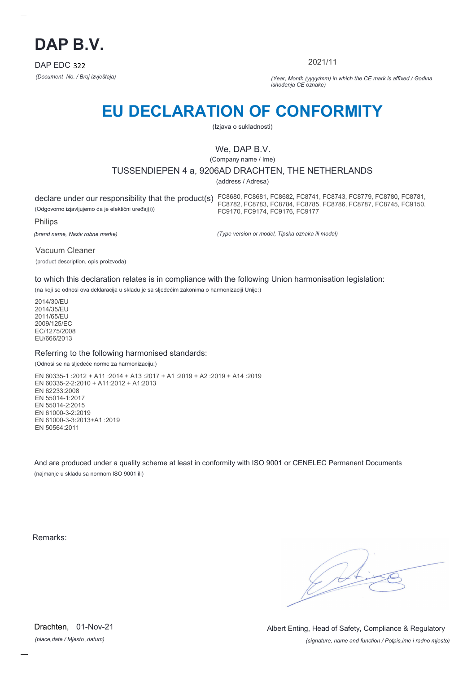

2021/11

*(Document No. / Broj izvještaja) (Year, Month (yyyy/mm) in which the CE mark is affixed / Godina ishođenja CE oznake)*

# **EU DECLARATION OF CONFORMITY**

(Izjava o sukladnosti)

# We, DAP B.V.

(Company name / Ime)

## TUSSENDIEPEN 4 a, 9206AD DRACHTEN, THE NETHERLANDS

(address / Adresa)

(Odgovorno izjavljujemo da je elektični uređaj(i))

declare under our responsibility that the product(s) FC8680, FC8681, FC8682, FC8741, FC8743, FC8779, FC8780, FC8781, FC8782, FC8783, FC8784, FC8785, FC8786, FC8787, FC8745, FC9150, FC9170, FC9174, FC9176, FC9177

Philips

*(brand name, Naziv robne marke)*

*(Type version or model, Tipska oznaka ili model)*

Vacuum Cleaner (product description, opis proizvoda)

to which this declaration relates is in compliance with the following Union harmonisation legislation:

(na koji se odnosi ova deklaracija u skladu je sa sljedećim zakonima o harmonizaciji Unije:)

2014/30/EU 2014/35/EU 2011/65/EU 2009/125/EC EC/1275/2008 EU/666/2013

### Referring to the following harmonised standards:

(Odnosi se na sljedeće norme za harmonizaciju:)

EN 60335-1 :2012 + A11 :2014 + A13 :2017 + A1 :2019 + A2 :2019 + A14 :2019 EN 60335-2-2:2010 + A11:2012 + A1:2013 EN 62233:2008 EN 55014-1:2017 EN 55014-2:2015 EN 61000-3-2:2019 EN 61000-3-3:2013+A1 :2019 EN 50564:2011

And are produced under a quality scheme at least in conformity with ISO 9001 or CENELEC Permanent Documents (najmanje u skladu sa normom ISO 9001 ili)

Remarks:

*(place,date / Mjesto ,datum)* Drachten, 01-Nov-21

*(signature, name and function / Potpis,ime i radno mjesto)* Albert Enting, Head of Safety, Compliance & Regulatory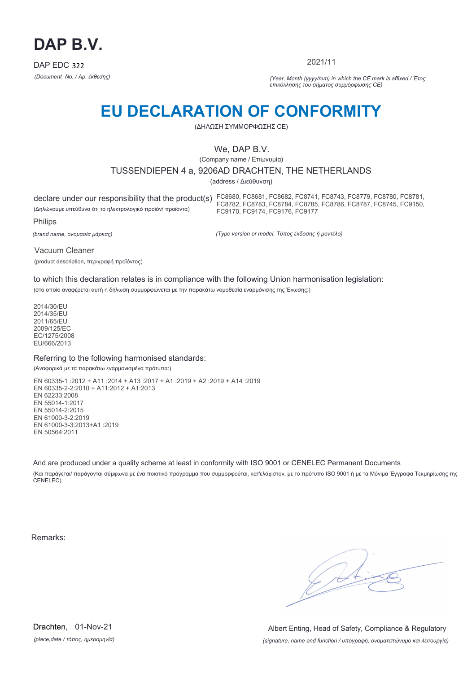

2021/11

*(Document No. / Αρ. έκθεσης) (Year, Month (yyyy/mm) in which the CE mark is affixed / Έτος επικόλλησης του σήματος συμμόρφωσης CE)*

# **EU DECLARATION OF CONFORMITY**

(ΔΗΛΩΣΗ ΣΥΜΜΟΡΦΩΣΗΣ CE)

## We, DAP B.V.

(Company name / Επωνυμία)

TUSSENDIEPEN 4 a, 9206AD DRACHTEN, THE NETHERLANDS

(address / Διεύθυνση)

declare under our responsibility that the product(s) FC8680, FC8681, FC8682, FC8741, FC8743, FC8779, FC8780, FC8781, (Δηλώνουμε υπεύθυνα ότι το ηλεκτρολογικό προϊόν/ προϊόντα) Philips FC8782, FC8783, FC8784, FC8785, FC8786, FC8787, FC8745, FC9150, FC9170, FC9174, FC9176, FC9177

*(brand name, ονομασία μάρκας)*

*(Type version or model, Τύπος έκδοσης ή μοντέλο)*

Vacuum Cleaner

(product description, περιγραφή προϊόντος)

to which this declaration relates is in compliance with the following Union harmonisation legislation:

(στο οποίο αναφέρεται αυτή η δήλωση συμμορφώνεται με την παρακάτω νομοθεσία εναρμόνισης της Ένωσης:)

2014/30/EU 2014/35/EU 2011/65/EU 2009/125/EC EC/1275/2008 EU/666/2013

### Referring to the following harmonised standards:

(Αναφορικά με τα παρακάτω εναρμονισμένα πρότυπα:)

EN 60335-1 :2012 + A11 :2014 + A13 :2017 + A1 :2019 + A2 :2019 + A14 :2019 EN 60335-2-2:2010 + A11:2012 + A1:2013 EN 62233:2008 EN 55014-1:2017 EN 55014-2:2015 EN 61000-3-2:2019 EN 61000-3-3:2013+A1 :2019 EN 50564:2011

And are produced under a quality scheme at least in conformity with ISO 9001 or CENELEC Permanent Documents

(Και παράγεται/ παράγονται σύμφωνα με ένα ποιοτικό πρόγραμμα που συμμορφούται, κατ'ελάχιστον, με το πρότυπο ISO 9001 ή με τα Μόνιμα Έγγραφα Τεκμηρίωσης της CENELEC)

Remarks:

*(place,date / τόπος, ημερομηνία)* Drachten, 01-Nov-21

*(signature, name and function / υπογραφή, ονοματεπώνυμο και λειτουργία)* Albert Enting, Head of Safety, Compliance & Regulatory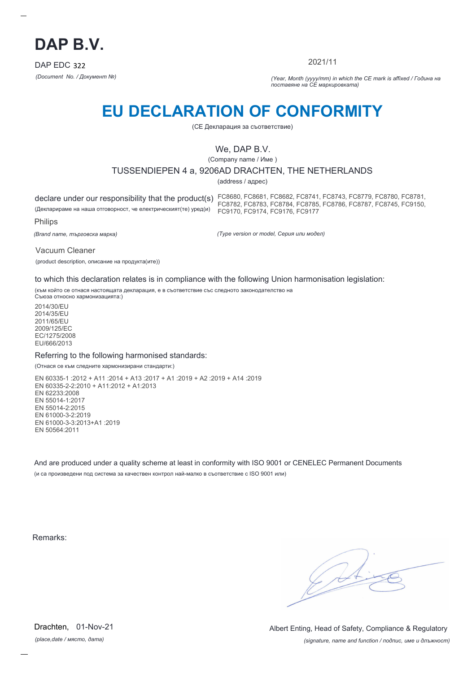

2021/11

*(Document No. / Документ №) (Year, Month (yyyy/mm) in which the CE mark is affixed / Година на поставяне на CE маркировката)*

# **EU DECLARATION OF CONFORMITY**

(CE Декларация за съответствие)

## We, DAP B.V.

(Company name / Име )

### TUSSENDIEPEN 4 a, 9206AD DRACHTEN, THE NETHERLANDS

(address / адрес)

(Декларираме на наша отговорност, че електрическият(те) уред(и)

declare under our responsibility that the product(s) FC8680, FC8681, FC8682, FC8741, FC8743, FC8779, FC8780, FC8781, FC8782, FC8783, FC8784, FC8785, FC8786, FC8787, FC8745, FC9150, FC9170, FC9174, FC9176, FC9177

Philips

*(Brand name, търговска марка)*

*(Type version or model, Серия или модел)*

Vacuum Cleaner

(product description, описание на продукта(ите))

to which this declaration relates is in compliance with the following Union harmonisation legislation:

(към който се отнася настоящата декларация, е в съответствие със следното законодателство на Съюза относно хармонизацията:)

2014/30/EU 2014/35/EU 2011/65/EU 2009/125/EC EC/1275/2008 EU/666/2013

#### Referring to the following harmonised standards:

(Отнася се към следните хармонизирани стандарти:)

EN 60335-1 :2012 + A11 :2014 + A13 :2017 + A1 :2019 + A2 :2019 + A14 :2019 EN 60335-2-2:2010 + A11:2012 + A1:2013 EN 62233:2008 EN 55014-1:2017 EN 55014-2:2015 EN 61000-3-2:2019 EN 61000-3-3:2013+A1 :2019 EN 50564:2011

And are produced under a quality scheme at least in conformity with ISO 9001 or CENELEC Permanent Documents (и са произведени под система за качествен контрол най-малко в съответствие с ISO 9001 или)

Remarks:

*(place,date / място, дата)* Drachten, 01-Nov-21

*(signature, name and function / подпис, име и длъжност)* Albert Enting, Head of Safety, Compliance & Regulatory